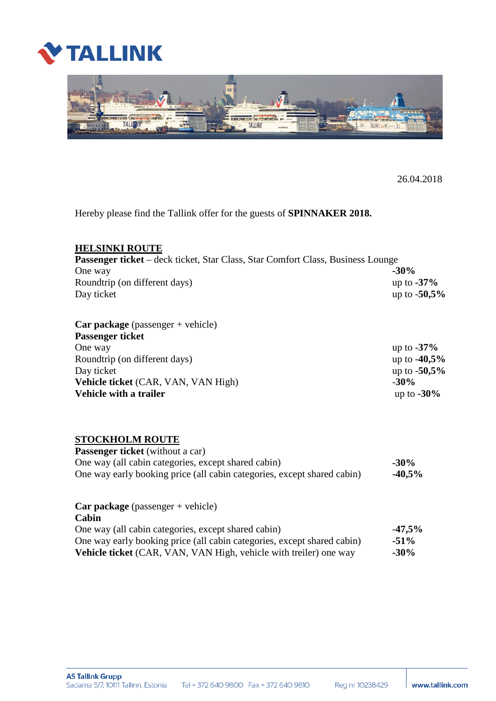



26.04.2018

Hereby please find the Tallink offer for the guests of **SPINNAKER 2018.** 

## **HELSINKI ROUTE**

| <b>Passenger ticket</b> – deck ticket, Star Class, Star Comfort Class, Business Lounge |                |
|----------------------------------------------------------------------------------------|----------------|
| One way                                                                                | $-30\%$        |
| Roundtrip (on different days)                                                          | up to $-37\%$  |
| Day ticket                                                                             | up to $-50,5%$ |

| <b>Car package</b> (passenger $+$ vehicle) |                |
|--------------------------------------------|----------------|
| <b>Passenger ticket</b>                    |                |
| One way                                    | up to $-37\%$  |
| Roundtrip (on different days)              | up to $-40,5%$ |
| Day ticket                                 | up to $-50,5%$ |
| Vehicle ticket (CAR, VAN, VAN High)        | $-30%$         |
| Vehicle with a trailer                     | up to $-30\%$  |

## **STOCKHOLM ROUTE**

| <b>Passenger ticket</b> (without a car)                                 |           |
|-------------------------------------------------------------------------|-----------|
| One way (all cabin categories, except shared cabin)                     | $-30%$    |
| One way early booking price (all cabin categories, except shared cabin) | $-40.5\%$ |

**Car package** (passenger + vehicle) **Cabin**  One way (all cabin categories, except shared cabin) -**47,5%**  One way early booking price (all cabin categories, except shared cabin) **-51% Vehicle ticket** (CAR, VAN, VAN High, vehicle with treiler) one way **-30%**